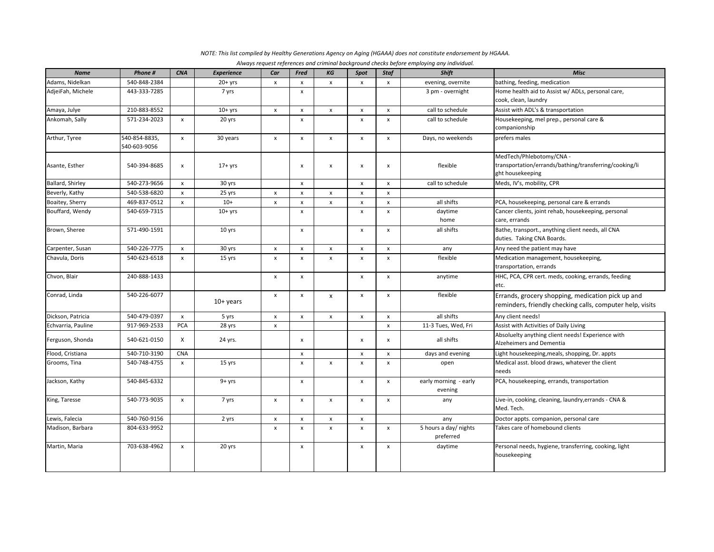| <b>Name</b>             | Phone #                       | <b>CNA</b>                | <b>Experience</b> | Car                | Fred               | KG                 | Spot               | <b>Staf</b>               | Always request references and criminal background checks before employing any individual.<br><b>Shift</b> | <b>Misc</b>                                                                                                    |
|-------------------------|-------------------------------|---------------------------|-------------------|--------------------|--------------------|--------------------|--------------------|---------------------------|-----------------------------------------------------------------------------------------------------------|----------------------------------------------------------------------------------------------------------------|
| Adams, Nidelkan         | 540-848-2384                  |                           | $20+yrs$          | $\pmb{\mathsf{x}}$ | $\pmb{\mathsf{x}}$ | $\pmb{\times}$     | $\pmb{\mathsf{x}}$ | $\pmb{\mathsf{x}}$        | evening, overnite                                                                                         | bathing, feeding, medication                                                                                   |
| AdjeiFah, Michele       | 443-333-7285                  |                           | 7 yrs             |                    | $\pmb{\mathsf{x}}$ |                    |                    |                           | 3 pm - overnight                                                                                          | Home health aid to Assist w/ ADLs, personal care,                                                              |
|                         |                               |                           |                   |                    |                    |                    |                    |                           |                                                                                                           | cook, clean, laundry                                                                                           |
| Amaya, Julye            | 210-883-8552                  |                           | $10+$ yrs         | x                  | x                  | x                  | $\pmb{\times}$     | $\pmb{\mathsf{x}}$        | call to schedule                                                                                          | Assist with ADL's & transportation                                                                             |
| Ankomah, Sally          | 571-234-2023                  | $\pmb{\times}$            | 20 yrs            |                    | $\mathsf{x}$       |                    | $\mathsf{x}$       | $\boldsymbol{\mathsf{x}}$ | call to schedule                                                                                          | Housekeeping, mel prep., personal care &<br>companionship                                                      |
| Arthur, Tyree           | 540-854-8835,<br>540-603-9056 | $\pmb{\times}$            | 30 years          | $\pmb{\mathsf{x}}$ | $\pmb{\mathsf{x}}$ | $\pmb{\mathsf{x}}$ | $\pmb{\times}$     | $\pmb{\mathsf{x}}$        | Days, no weekends                                                                                         | prefers males                                                                                                  |
| Asante, Esther          | 540-394-8685                  | $\pmb{\times}$            | $17+$ yrs         |                    | x                  | x                  | x                  | $\pmb{\chi}$              | flexible                                                                                                  | MedTech/Phlebotomy/CNA -<br>transportation/errands/bathing/transferring/cooking/li<br>ght housekeeping         |
| <b>Ballard, Shirley</b> | 540-273-9656                  | $\pmb{\times}$            | 30 yrs            |                    | $\pmb{\mathsf{x}}$ |                    | $\pmb{\mathsf{X}}$ | $\boldsymbol{\mathsf{x}}$ | call to schedule                                                                                          | Meds, IV's, mobility, CPR                                                                                      |
| Beverly, Kathy          | 540-538-6820                  | $\pmb{\times}$            | 25 yrs            | $\pmb{\mathsf{x}}$ | $\pmb{\mathsf{x}}$ | $\pmb{\mathsf{x}}$ | $\pmb{\times}$     | $\pmb{\times}$            |                                                                                                           |                                                                                                                |
| Boaitey, Sherry         | 469-837-0512                  | $\pmb{\times}$            | $10+$             | $\pmb{\mathsf{x}}$ | $\pmb{\mathsf{x}}$ | $\pmb{\mathsf{x}}$ | $\pmb{\mathsf{X}}$ | $\pmb{\mathsf{x}}$        | all shifts                                                                                                | PCA, housekeeping, personal care & errands                                                                     |
| Bouffard, Wendy         | 540-659-7315                  |                           | $10+$ yrs         |                    | $\pmb{\mathsf{x}}$ |                    | $\mathsf{x}$       | $\pmb{\mathsf{x}}$        | daytime<br>home                                                                                           | Cancer clients, joint rehab, housekeeping, personal<br>care, errands                                           |
| Brown, Sheree           | 571-490-1591                  |                           | 10 yrs            |                    | $\pmb{\mathsf{x}}$ |                    | $\pmb{\mathsf{x}}$ | $\boldsymbol{\mathsf{x}}$ | all shifts                                                                                                | Bathe, transport., anything client needs, all CNA<br>duties. Taking CNA Boards.                                |
| Carpenter, Susan        | 540-226-7775                  | $\pmb{\mathsf{x}}$        | 30 yrs            | $\mathsf{x}$       | $\pmb{\mathsf{x}}$ | $\pmb{\mathsf{x}}$ | $\pmb{\times}$     | $\pmb{\times}$            | any                                                                                                       | Any need the patient may have                                                                                  |
| Chavula, Doris          | 540-623-6518                  | $\pmb{\times}$            | 15 yrs            | $\pmb{\mathsf{x}}$ | $\pmb{\mathsf{x}}$ | $\pmb{\mathsf{x}}$ | $\pmb{\mathsf{x}}$ | $\pmb{\mathsf{x}}$        | flexible                                                                                                  | Medication management, housekeeping,<br>transportation, errands                                                |
| Chvon, Blair            | 240-888-1433                  |                           |                   | x                  | $\pmb{\mathsf{x}}$ |                    | $\pmb{\mathsf{x}}$ | $\pmb{\mathsf{x}}$        | anytime                                                                                                   | HHC, PCA, CPR cert. meds, cooking, errands, feeding<br>etc.                                                    |
| Conrad, Linda           | 540-226-6077                  |                           | $10+$ years       | $\mathsf{x}$       | x                  | X                  | $\mathsf{x}$       | $\mathsf{x}$              | flexible                                                                                                  | Errands, grocery shopping, medication pick up and<br>reminders, friendly checking calls, computer help, visits |
| Dickson, Patricia       | 540-479-0397                  | $\boldsymbol{\mathsf{x}}$ | 5 yrs             | $\pmb{\mathsf{x}}$ | $\pmb{\mathsf{x}}$ | $\mathsf{x}$       | $\pmb{\mathsf{X}}$ | $\pmb{\times}$            | all shifts                                                                                                | Any client needs!                                                                                              |
| Echvarria, Pauline      | 917-969-2533                  | PCA                       | 28 yrs            | $\pmb{\mathsf{x}}$ |                    |                    |                    | $\pmb{\mathsf{x}}$        | 11-3 Tues, Wed, Fri                                                                                       | Assist with Activities of Daily Living                                                                         |
| Ferguson, Shonda        | 540-621-0150                  | X                         | 24 yrs.           |                    | x                  |                    | x                  | $\pmb{\chi}$              | all shifts                                                                                                | Absoluelty anything client needs! Experience with<br>Alzeheimers and Dementia                                  |
| Flood, Cristiana        | 540-710-3190                  | <b>CNA</b>                |                   |                    | $\pmb{\mathsf{x}}$ |                    | $\mathsf{x}$       | $\boldsymbol{\mathsf{x}}$ | days and evening                                                                                          | Light housekeeping, meals, shopping, Dr. appts                                                                 |
| Grooms, Tina            | 540-748-4755                  | $\pmb{\mathsf{x}}$        | 15 yrs            |                    | $\pmb{\mathsf{x}}$ | $\pmb{\mathsf{x}}$ | $\pmb{\mathsf{x}}$ | $\pmb{\mathsf{x}}$        | open                                                                                                      | Medical asst. blood draws, whatever the client<br>needs                                                        |
| Jackson, Kathy          | 540-845-6332                  |                           | $9 + yrs$         |                    | $\pmb{\mathsf{x}}$ |                    | $\mathsf{x}$       | $\mathsf{x}$              | early morning - early<br>evening                                                                          | PCA, housekeeping, errands, transportation                                                                     |
| King, Taresse           | 540-773-9035                  | $\pmb{\times}$            | 7 yrs             | x                  | $\pmb{\mathsf{x}}$ | $\pmb{\mathsf{x}}$ | $\pmb{\mathsf{x}}$ | $\boldsymbol{\mathsf{x}}$ | any                                                                                                       | Live-in, cooking, cleaning, laundry, errands - CNA &<br>Med. Tech.                                             |
| Lewis, Falecia          | 540-760-9156                  |                           | 2 yrs             | $\pmb{\mathsf{x}}$ | $\pmb{\mathsf{x}}$ | $\pmb{\mathsf{x}}$ | $\pmb{\mathsf{x}}$ |                           | any                                                                                                       | Doctor appts. companion, personal care                                                                         |
| Madison, Barbara        | 804-633-9952                  |                           |                   | $\pmb{\mathsf{x}}$ | $\pmb{\mathsf{x}}$ | $\pmb{\times}$     | $\pmb{\mathsf{X}}$ | $\boldsymbol{\mathsf{x}}$ | 5 hours a day/ nights<br>preferred                                                                        | Takes care of homebound clients                                                                                |
| Martin, Maria           | 703-638-4962                  | $\pmb{\times}$            | 20 yrs            |                    | $\pmb{\mathsf{x}}$ |                    | $\pmb{\mathsf{x}}$ | x                         | daytime                                                                                                   | Personal needs, hygiene, transferring, cooking, light<br>housekeeping                                          |

NOTE: This list compiled by Healthy Generations Agency on Aging (HGAAA) does not constitute endorsement by HGAAA.